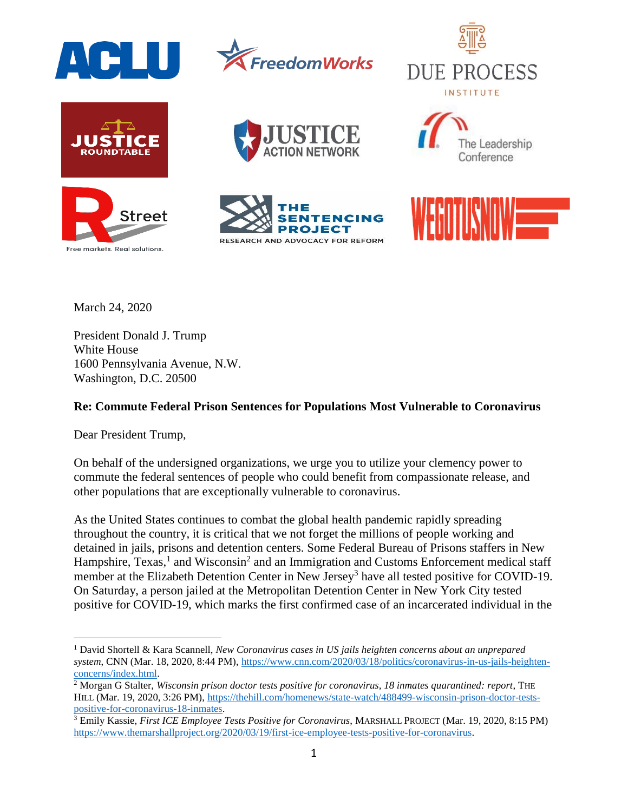

















March 24, 2020

President Donald J. Trump White House 1600 Pennsylvania Avenue, N.W. Washington, D.C. 20500

## **Re: Commute Federal Prison Sentences for Populations Most Vulnerable to Coronavirus**

Dear President Trump,

 $\overline{a}$ 

On behalf of the undersigned organizations, we urge you to utilize your clemency power to commute the federal sentences of people who could benefit from compassionate release, and other populations that are exceptionally vulnerable to coronavirus.

As the United States continues to combat the global health pandemic rapidly spreading throughout the country, it is critical that we not forget the millions of people working and detained in jails, prisons and detention centers. Some Federal Bureau of Prisons staffers in New Hampshire, Texas,<sup>1</sup> and Wisconsin<sup>2</sup> and an Immigration and Customs Enforcement medical staff member at the Elizabeth Detention Center in New Jersey<sup>3</sup> have all tested positive for COVID-19. On Saturday, a person jailed at the Metropolitan Detention Center in New York City tested positive for COVID-19, which marks the first confirmed case of an incarcerated individual in the

<sup>1</sup> David Shortell & Kara Scannell, *New Coronavirus cases in US jails heighten concerns about an unprepared system*, CNN (Mar. 18, 2020, 8:44 PM), [https://www.cnn.com/2020/03/18/politics/coronavirus-in-us-jails-heighten](https://www.cnn.com/2020/03/18/politics/coronavirus-in-us-jails-heighten-concerns/index.html)[concerns/index.html.](https://www.cnn.com/2020/03/18/politics/coronavirus-in-us-jails-heighten-concerns/index.html) 

<sup>2</sup> Morgan G Stalter, *Wisconsin prison doctor tests positive for coronavirus, 18 inmates quarantined: report*, THE HILL (Mar. 19, 2020, 3:26 PM), [https://thehill.com/homenews/state-watch/488499-wisconsin-prison-doctor-tests](https://thehill.com/homenews/state-watch/488499-wisconsin-prison-doctor-tests-positive-for-coronavirus-18-inmates)[positive-for-coronavirus-18-inmates.](https://thehill.com/homenews/state-watch/488499-wisconsin-prison-doctor-tests-positive-for-coronavirus-18-inmates)

<sup>3</sup> Emily Kassie, *First ICE Employee Tests Positive for Coronavirus*, MARSHALL PROJECT (Mar. 19, 2020, 8:15 PM) [https://www.themarshallproject.org/2020/03/19/first-ice-employee-tests-positive-for-coronavirus.](https://www.themarshallproject.org/2020/03/19/first-ice-employee-tests-positive-for-coronavirus)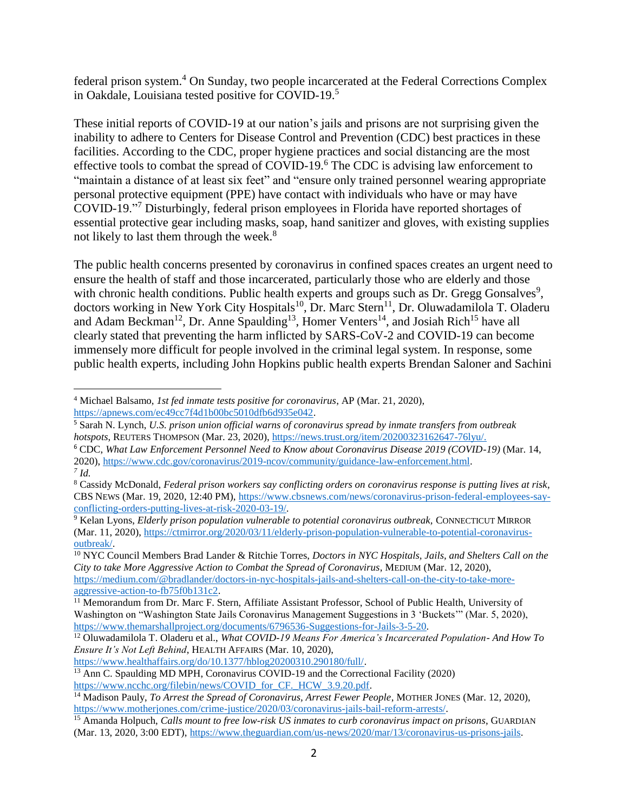federal prison system.<sup>4</sup> On Sunday, two people incarcerated at the Federal Corrections Complex in Oakdale, Louisiana tested positive for COVID-19. 5

These initial reports of COVID-19 at our nation's jails and prisons are not surprising given the inability to adhere to Centers for Disease Control and Prevention (CDC) best practices in these facilities. According to the CDC, proper hygiene practices and social distancing are the most effective tools to combat the spread of COVID-19.<sup>6</sup> The CDC is advising law enforcement to "maintain a distance of at least six feet" and "ensure only trained personnel wearing appropriate personal protective equipment (PPE) have contact with individuals who have or may have COVID-19."<sup>7</sup> Disturbingly, federal prison employees in Florida have reported shortages of essential protective gear including masks, soap, hand sanitizer and gloves, with existing supplies not likely to last them through the week.<sup>8</sup>

The public health concerns presented by coronavirus in confined spaces creates an urgent need to ensure the health of staff and those incarcerated, particularly those who are elderly and those with chronic health conditions. Public health experts and groups such as Dr. Gregg Gonsalves $9$ , doctors working in New York City Hospitals<sup>10</sup>, Dr. Marc Stern<sup>11</sup>, Dr. Oluwadamilola T. Oladeru and Adam Beckman<sup>12</sup>, Dr. Anne Spaulding<sup>13</sup>, Homer Venters<sup>14</sup>, and Josiah Rich<sup>15</sup> have all clearly stated that preventing the harm inflicted by SARS-CoV-2 and COVID-19 can become immensely more difficult for people involved in the criminal legal system. In response, some public health experts, including John Hopkins public health experts Brendan Saloner and Sachini

[https://www.healthaffairs.org/do/10.1377/hblog20200310.290180/full/.](https://www.healthaffairs.org/do/10.1377/hblog20200310.290180/full/) 

<sup>13</sup> Ann C. Spaulding MD MPH, Coronavirus COVID-19 and the Correctional Facility (2020) https://www.ncchc.org/filebin/news/COVID\_for\_CF.\_HCW\_3.9.20.pdf.

 $\overline{a}$ <sup>4</sup> Michael Balsamo, *1st fed inmate tests positive for coronavirus*, AP (Mar. 21, 2020), [https://apnews.com/ec49cc7f4d1b00bc5010dfb6d935e042.](https://apnews.com/ec49cc7f4d1b00bc5010dfb6d935e042)

<sup>5</sup> Sarah N. Lynch, *U.S. prison union official warns of coronavirus spread by inmate transfers from outbreak hotspots*, REUTERS THOMPSON (Mar. 23, 2020), [https://news.trust.org/item/20200323162647-76lyu/.](https://news.trust.org/item/20200323162647-76lyu/)

<sup>6</sup> CDC, *What Law Enforcement Personnel Need to Know about Coronavirus Disease 2019 (COVID-19)* (Mar. 14, 2020), [https://www.cdc.gov/coronavirus/2019-ncov/community/guidance-law-enforcement.html.](https://www.cdc.gov/coronavirus/2019-ncov/community/guidance-law-enforcement.html)  *7 Id.* 

<sup>8</sup> Cassidy McDonald, *Federal prison workers say conflicting orders on coronavirus response is putting lives at risk*, CBS NEWS (Mar. 19, 2020, 12:40 PM), [https://www.cbsnews.com/news/coronavirus-prison-federal-employees-say](https://www.cbsnews.com/news/coronavirus-prison-federal-employees-say-conflicting-orders-putting-lives-at-risk-2020-03-19/)[conflicting-orders-putting-lives-at-risk-2020-03-19/.](https://www.cbsnews.com/news/coronavirus-prison-federal-employees-say-conflicting-orders-putting-lives-at-risk-2020-03-19/)

<sup>9</sup> Kelan Lyons, *Elderly prison population vulnerable to potential coronavirus outbreak,* CONNECTICUT MIRROR (Mar. 11, 2020), [https://ctmirror.org/2020/03/11/elderly-prison-population-vulnerable-to-potential-coronavirus](https://ctmirror.org/2020/03/11/elderly-prison-population-vulnerable-to-potential-coronavirus-outbreak/)[outbreak/.](https://ctmirror.org/2020/03/11/elderly-prison-population-vulnerable-to-potential-coronavirus-outbreak/)

<sup>10</sup> NYC Council Members Brad Lander & Ritchie Torres, *Doctors in NYC Hospitals, Jails, and Shelters Call on the City to take More Aggressive Action to Combat the Spread of Coronavirus*, MEDIUM (Mar. 12, 2020), [https://medium.com/@bradlander/doctors-in-nyc-hospitals-jails-and-shelters-call-on-the-city-to-take-more](https://medium.com/@bradlander/doctors-in-nyc-hospitals-jails-and-shelters-call-on-the-city-to-take-more-aggressive-action-to-fb75f0b131c2)[aggressive-action-to-fb75f0b131c2.](https://medium.com/@bradlander/doctors-in-nyc-hospitals-jails-and-shelters-call-on-the-city-to-take-more-aggressive-action-to-fb75f0b131c2)

<sup>&</sup>lt;sup>11</sup> Memorandum from Dr. Marc F. Stern, Affiliate Assistant Professor, School of Public Health, University of Washington on "Washington State Jails Coronavirus Management Suggestions in 3 'Buckets'" (Mar. 5, 2020), [https://www.themarshallproject.org/documents/6796536-Suggestions-for-Jails-3-5-20.](https://www.themarshallproject.org/documents/6796536-Suggestions-for-Jails-3-5-20)

<sup>12</sup> Oluwadamilola T. Oladeru et al., *What COVID-19 Means For America's Incarcerated Population- And How To Ensure It's Not Left Behind*, HEALTH AFFAIRS (Mar. 10, 2020),

<sup>&</sup>lt;sup>14</sup> Madison Pauly, *To Arrest the Spread of Coronavirus, Arrest Fewer People*, MOTHER JONES (Mar. 12, 2020), [https://www.motherjones.com/crime-justice/2020/03/coronavirus-jails-bail-reform-arrests/.](https://www.motherjones.com/crime-justice/2020/03/coronavirus-jails-bail-reform-arrests/)

<sup>15</sup> Amanda Holpuch, *Calls mount to free low-risk US inmates to curb coronavirus impact on prisons*, GUARDIAN (Mar. 13, 2020, 3:00 EDT), [https://www.theguardian.com/us-news/2020/mar/13/coronavirus-us-prisons-jails.](https://www.theguardian.com/us-news/2020/mar/13/coronavirus-us-prisons-jails)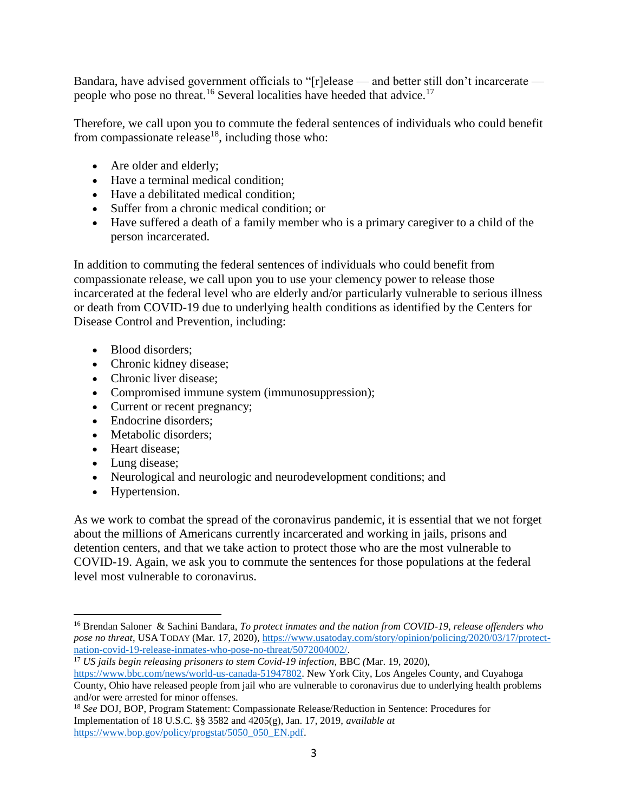Bandara, have advised government officials to "[r]elease — and better still don't incarcerate people who pose no threat.<sup>16</sup> Several localities have heeded that advice.<sup>17</sup>

Therefore, we call upon you to commute the federal sentences of individuals who could benefit from compassionate release<sup>18</sup>, including those who:

- Are older and elderly;
- Have a terminal medical condition;
- Have a debilitated medical condition:
- Suffer from a chronic medical condition; or
- Have suffered a death of a family member who is a primary caregiver to a child of the person incarcerated.

In addition to commuting the federal sentences of individuals who could benefit from compassionate release, we call upon you to use your clemency power to release those incarcerated at the federal level who are elderly and/or particularly vulnerable to serious illness or death from COVID-19 due to underlying health conditions as identified by the Centers for Disease Control and Prevention, including:

- Blood disorders:
- Chronic kidney disease;
- Chronic liver disease;
- Compromised immune system (immunosuppression);
- Current or recent pregnancy;
- Endocrine disorders;
- Metabolic disorders;
- Heart disease:
- Lung disease;
- Neurological and neurologic and neurodevelopment conditions; and
- Hypertension.

 $\overline{a}$ 

As we work to combat the spread of the coronavirus pandemic, it is essential that we not forget about the millions of Americans currently incarcerated and working in jails, prisons and detention centers, and that we take action to protect those who are the most vulnerable to COVID-19. Again, we ask you to commute the sentences for those populations at the federal level most vulnerable to coronavirus.

<sup>16</sup> Brendan Saloner & Sachini Bandara, *To protect inmates and the nation from COVID-19, release offenders who pose no threat*, USA TODAY (Mar. 17, 2020), [https://www.usatoday.com/story/opinion/policing/2020/03/17/protect](https://www.usatoday.com/story/opinion/policing/2020/03/17/protect-nation-covid-19-release-inmates-who-pose-no-threat/5072004002/)[nation-covid-19-release-inmates-who-pose-no-threat/5072004002/.](https://www.usatoday.com/story/opinion/policing/2020/03/17/protect-nation-covid-19-release-inmates-who-pose-no-threat/5072004002/)

<sup>17</sup> *US jails begin releasing prisoners to stem Covid-19 infection*, BBC *(*Mar. 19, 2020), [https://www.bbc.com/news/world-us-canada-51947802.](https://www.bbc.com/news/world-us-canada-51947802) New York City, Los Angeles County, and Cuyahoga County, Ohio have released people from jail who are vulnerable to coronavirus due to underlying health problems and/or were arrested for minor offenses.

<sup>18</sup> *See* DOJ, BOP, Program Statement: Compassionate Release/Reduction in Sentence: Procedures for Implementation of 18 U.S.C. §§ 3582 and 4205(g), Jan. 17, 2019, *available at*  [https://www.bop.gov/policy/progstat/5050\\_050\\_EN.pdf.](https://www.bop.gov/policy/progstat/5050_050_EN.pdf)